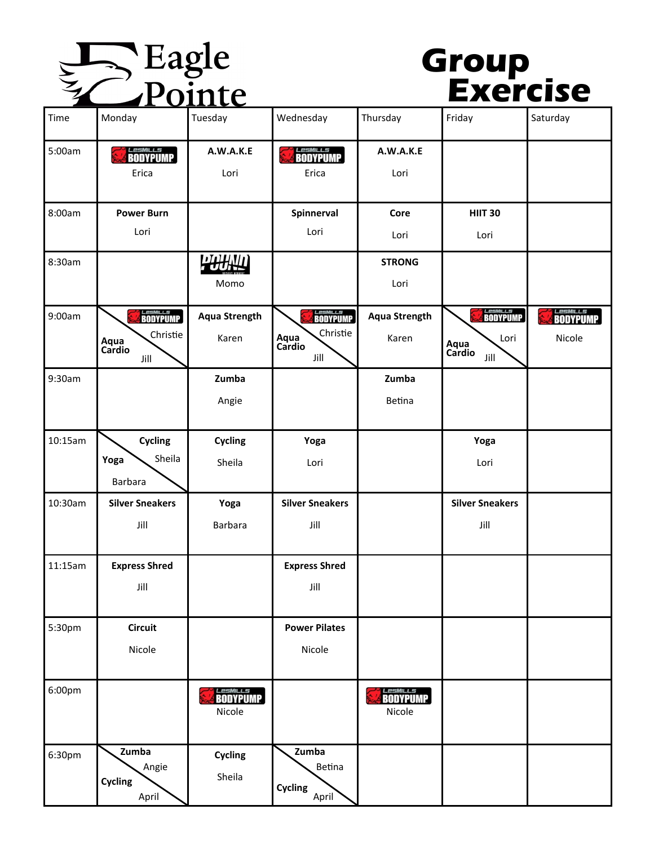

## **Group Exercise**

| Time    | Monday                                    | Tuesday                   | Wednesday                                  | Thursday                  | Friday                         | Saturday                    |
|---------|-------------------------------------------|---------------------------|--------------------------------------------|---------------------------|--------------------------------|-----------------------------|
| 5:00am  | <i>LesMILLS</i><br>BODYPUMP<br>Erica      | A.W.A.K.E<br>Lori         | <i>LesmiLLs</i><br>BODYPUMP<br>Erica       | A.W.A.K.E<br>Lori         |                                |                             |
| 8:00am  | <b>Power Burn</b>                         |                           | Spinnerval                                 | Core                      | <b>HIIT 30</b>                 |                             |
|         | Lori                                      |                           | Lori                                       | Lori                      | Lori                           |                             |
| 8:30am  |                                           | PHHID<br>Momo             |                                            | <b>STRONG</b><br>Lori     |                                |                             |
| 9:00am  | <b>ELESMILLS</b>                          | <b>Aqua Strength</b>      | <b><i>ELESMILLS</i></b><br><b>BODYPUMP</b> | <b>Aqua Strength</b>      | Les MILLS<br><b>BODYPUMP</b>   | <i>LesMILLS</i><br>BODYPUMP |
|         | Christie<br>Aqua<br>Cardio<br>Jill        | Karen                     | Christie<br>Aqua<br>Cardio<br>Jill         | Karen                     | Lori<br>Aqua<br>Cardio<br>Jill | Nicole                      |
| 9:30am  |                                           | Zumba                     |                                            | Zumba                     |                                |                             |
|         |                                           | Angie                     |                                            | Betina                    |                                |                             |
| 10:15am | Cycling                                   | <b>Cycling</b>            | Yoga                                       |                           | Yoga                           |                             |
|         | Sheila<br>Yoga<br>Barbara                 | Sheila                    | Lori                                       |                           | Lori                           |                             |
| 10:30am | <b>Silver Sneakers</b>                    | Yoga                      | <b>Silver Sneakers</b>                     |                           | <b>Silver Sneakers</b>         |                             |
|         | Jill                                      | <b>Barbara</b>            | Jill                                       |                           | Jill                           |                             |
| 11:15am | <b>Express Shred</b>                      |                           | <b>Express Shred</b>                       |                           |                                |                             |
|         | Jill                                      |                           | Jill                                       |                           |                                |                             |
| 5:30pm  | <b>Circuit</b>                            |                           | <b>Power Pilates</b>                       |                           |                                |                             |
|         | Nicole                                    |                           | Nicole                                     |                           |                                |                             |
| 6:00pm  |                                           | <b>LesMILLS</b><br>Nicole |                                            | <b>LESMILLS</b><br>Nicole |                                |                             |
| 6:30pm  | Zumba<br>Angie<br><b>Cycling</b><br>April | <b>Cycling</b><br>Sheila  | Zumba<br>Betina<br>Cycling<br>April        |                           |                                |                             |